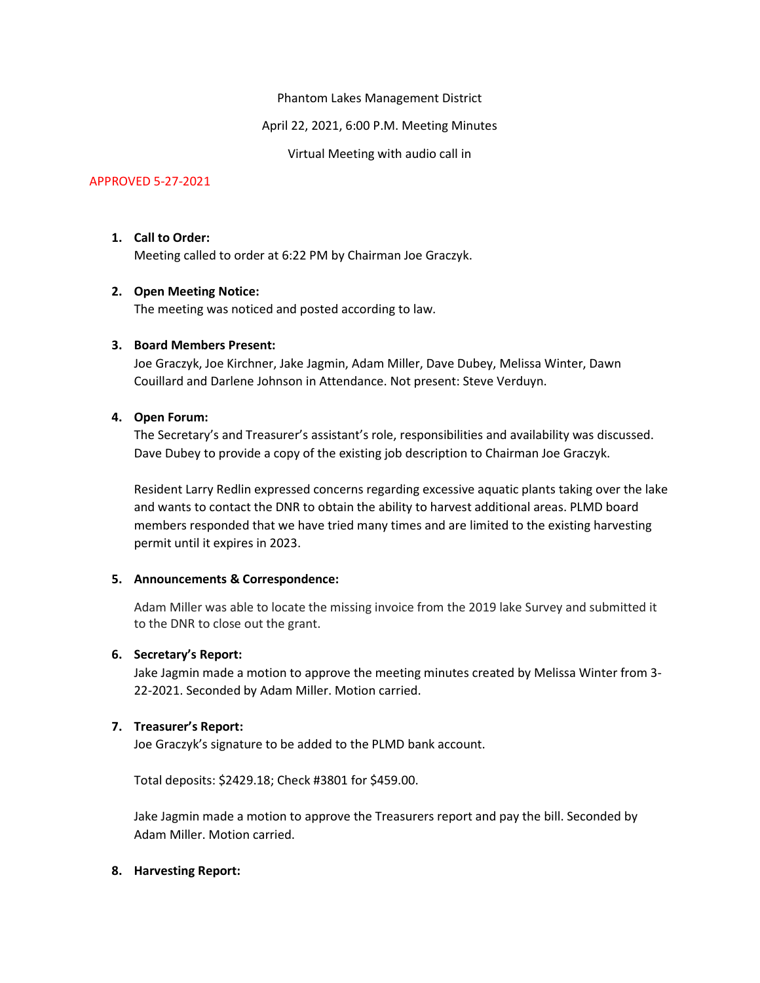Phantom Lakes Management District

April 22, 2021, 6:00 P.M. Meeting Minutes

Virtual Meeting with audio call in

# APPROVED 5-27-2021

## 1. Call to Order:

Meeting called to order at 6:22 PM by Chairman Joe Graczyk.

## 2. Open Meeting Notice:

The meeting was noticed and posted according to law.

# 3. Board Members Present:

Joe Graczyk, Joe Kirchner, Jake Jagmin, Adam Miller, Dave Dubey, Melissa Winter, Dawn Couillard and Darlene Johnson in Attendance. Not present: Steve Verduyn.

# 4. Open Forum:

The Secretary's and Treasurer's assistant's role, responsibilities and availability was discussed. Dave Dubey to provide a copy of the existing job description to Chairman Joe Graczyk.

Resident Larry Redlin expressed concerns regarding excessive aquatic plants taking over the lake and wants to contact the DNR to obtain the ability to harvest additional areas. PLMD board members responded that we have tried many times and are limited to the existing harvesting permit until it expires in 2023.

## 5. Announcements & Correspondence:

Adam Miller was able to locate the missing invoice from the 2019 lake Survey and submitted it to the DNR to close out the grant.

## 6. Secretary's Report:

Jake Jagmin made a motion to approve the meeting minutes created by Melissa Winter from 3- 22-2021. Seconded by Adam Miller. Motion carried.

## 7. Treasurer's Report:

Joe Graczyk's signature to be added to the PLMD bank account.

Total deposits: \$2429.18; Check #3801 for \$459.00.

Jake Jagmin made a motion to approve the Treasurers report and pay the bill. Seconded by Adam Miller. Motion carried.

## 8. Harvesting Report: